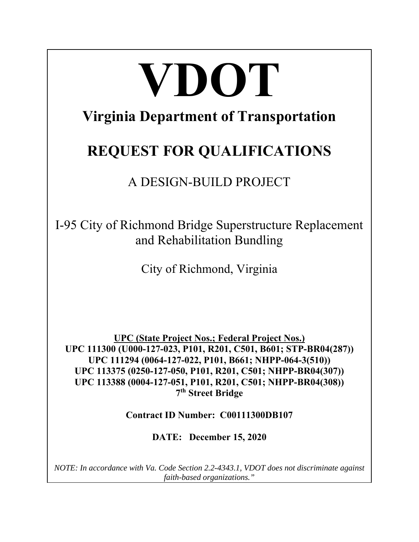# **VDOT Virginia Department of Transportation REQUEST FOR QUALIFICATIONS**  A DESIGN-BUILD PROJECT I-95 City of Richmond Bridge Superstructure Replacement and Rehabilitation Bundling City of Richmond, Virginia

**UPC (State Project Nos.; Federal Project Nos.) UPC 111300 (U000-127-023, P101, R201, C501, B601; STP-BR04(287)) UPC 111294 (0064-127-022, P101, B661; NHPP-064-3(510)) UPC 113375 (0250-127-050, P101, R201, C501; NHPP-BR04(307)) UPC 113388 (0004-127-051, P101, R201, C501; NHPP-BR04(308)) 7th Street Bridge** 

**Contract ID Number: C00111300DB107** 

**DATE: December 15, 2020** 

*NOTE: In accordance with Va. Code Section 2.2-4343.1, VDOT does not discriminate against faith-based organizations."*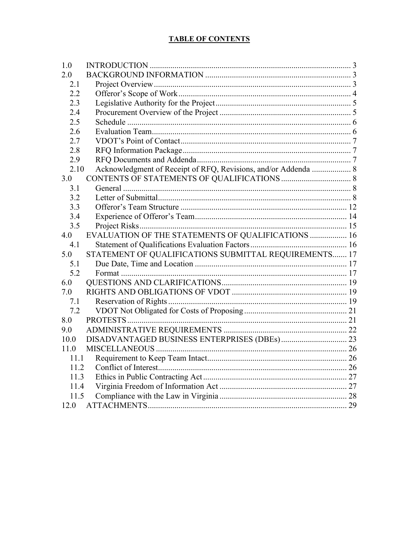# **TABLE OF CONTENTS**

| 1.0  |                                                                |  |
|------|----------------------------------------------------------------|--|
| 2.0  |                                                                |  |
| 2.1  |                                                                |  |
| 2.2  |                                                                |  |
| 2.3  |                                                                |  |
| 2.4  |                                                                |  |
| 2.5  |                                                                |  |
| 2.6  |                                                                |  |
| 2.7  |                                                                |  |
| 2.8  |                                                                |  |
| 2.9  |                                                                |  |
| 2.10 | Acknowledgment of Receipt of RFQ, Revisions, and/or Addenda  8 |  |
| 3.0  |                                                                |  |
| 3.1  |                                                                |  |
| 3.2  |                                                                |  |
| 3.3  |                                                                |  |
| 3.4  |                                                                |  |
| 3.5  |                                                                |  |
| 4.0  | EVALUATION OF THE STATEMENTS OF QUALIFICATIONS  16             |  |
| 4.1  |                                                                |  |
| 5.0  | STATEMENT OF QUALIFICATIONS SUBMITTAL REQUIREMENTS 17          |  |
| 5.1  |                                                                |  |
| 5.2  |                                                                |  |
| 6.0  |                                                                |  |
| 7.0  |                                                                |  |
| 7.1  |                                                                |  |
| 7.2  |                                                                |  |
| 8.0  |                                                                |  |
| 9.0  |                                                                |  |
| 10.0 |                                                                |  |
| 11.0 |                                                                |  |
| 11.1 |                                                                |  |
| 11.2 |                                                                |  |
| 11.3 |                                                                |  |
| 11.4 |                                                                |  |
| 11.5 |                                                                |  |
| 12.0 |                                                                |  |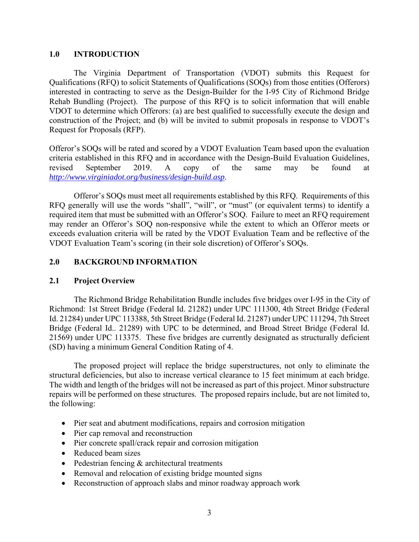## **1.0 INTRODUCTION**

The Virginia Department of Transportation (VDOT) submits this Request for Qualifications (RFQ) to solicit Statements of Qualifications (SOQs) from those entities (Offerors) interested in contracting to serve as the Design-Builder for the I-95 City of Richmond Bridge Rehab Bundling (Project). The purpose of this RFQ is to solicit information that will enable VDOT to determine which Offerors: (a) are best qualified to successfully execute the design and construction of the Project; and (b) will be invited to submit proposals in response to VDOT's Request for Proposals (RFP).

Offeror's SOQs will be rated and scored by a VDOT Evaluation Team based upon the evaluation criteria established in this RFQ and in accordance with the Design-Build Evaluation Guidelines, revised September 2019. A copy of the same may be found at *http://www.virginiadot.org/business/design-build.asp*.

Offeror's SOQs must meet all requirements established by this RFQ. Requirements of this RFQ generally will use the words "shall", "will", or "must" (or equivalent terms) to identify a required item that must be submitted with an Offeror's SOQ. Failure to meet an RFQ requirement may render an Offeror's SOQ non-responsive while the extent to which an Offeror meets or exceeds evaluation criteria will be rated by the VDOT Evaluation Team and be reflective of the VDOT Evaluation Team's scoring (in their sole discretion) of Offeror's SOQs.

## **2.0 BACKGROUND INFORMATION**

#### **2.1 Project Overview**

The Richmond Bridge Rehabilitation Bundle includes five bridges over I-95 in the City of Richmond: 1st Street Bridge (Federal Id. 21282) under UPC 111300, 4th Street Bridge (Federal Id. 21284) under UPC 113388, 5th Street Bridge (Federal Id. 21287) under UPC 111294, 7th Street Bridge (Federal Id.. 21289) with UPC to be determined, and Broad Street Bridge (Federal Id. 21569) under UPC 113375. These five bridges are currently designated as structurally deficient (SD) having a minimum General Condition Rating of 4.

The proposed project will replace the bridge superstructures, not only to eliminate the structural deficiencies, but also to increase vertical clearance to 15 feet minimum at each bridge. The width and length of the bridges will not be increased as part of this project. Minor substructure repairs will be performed on these structures. The proposed repairs include, but are not limited to, the following:

- Pier seat and abutment modifications, repairs and corrosion mitigation
- Pier cap removal and reconstruction
- Pier concrete spall/crack repair and corrosion mitigation
- Reduced beam sizes
- Pedestrian fencing & architectural treatments
- Removal and relocation of existing bridge mounted signs
- Reconstruction of approach slabs and minor roadway approach work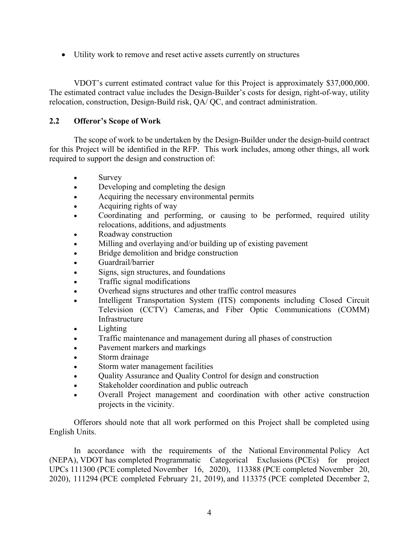Utility work to remove and reset active assets currently on structures

VDOT's current estimated contract value for this Project is approximately \$37,000,000. The estimated contract value includes the Design-Builder's costs for design, right-of-way, utility relocation, construction, Design-Build risk, QA/ QC, and contract administration.

# **2.2 Offeror's Scope of Work**

The scope of work to be undertaken by the Design-Builder under the design-build contract for this Project will be identified in the RFP. This work includes, among other things, all work required to support the design and construction of:

- Survey
- Developing and completing the design
- Acquiring the necessary environmental permits
- Acquiring rights of way
- Coordinating and performing, or causing to be performed, required utility relocations, additions, and adjustments
- Roadway construction
- Milling and overlaying and/or building up of existing pavement
- Bridge demolition and bridge construction
- Guardrail/barrier
- Signs, sign structures, and foundations
- Traffic signal modifications
- Overhead signs structures and other traffic control measures
- Intelligent Transportation System (ITS) components including Closed Circuit Television (CCTV) Cameras, and Fiber Optic Communications (COMM) Infrastructure
- Lighting
- Traffic maintenance and management during all phases of construction
- Pavement markers and markings
- Storm drainage
- Storm water management facilities
- Quality Assurance and Quality Control for design and construction
- Stakeholder coordination and public outreach
- Overall Project management and coordination with other active construction projects in the vicinity.

Offerors should note that all work performed on this Project shall be completed using English Units.

In accordance with the requirements of the National Environmental Policy Act (NEPA), VDOT has completed Programmatic Categorical Exclusions (PCEs) for project UPCs 111300 (PCE completed November 16, 2020), 113388 (PCE completed November 20, 2020), 111294 (PCE completed February 21, 2019), and 113375 (PCE completed December 2,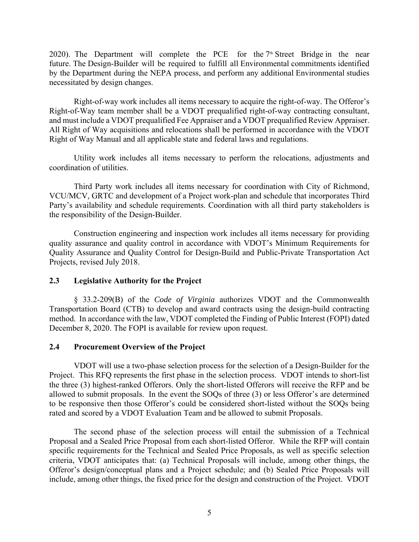2020). The Department will complete the PCE for the  $7<sup>th</sup>$  Street Bridge in the near future. The Design-Builder will be required to fulfill all Environmental commitments identified by the Department during the NEPA process, and perform any additional Environmental studies necessitated by design changes.

Right-of-way work includes all items necessary to acquire the right-of-way. The Offeror's Right-of-Way team member shall be a VDOT prequalified right-of-way contracting consultant, and must include a VDOT prequalified Fee Appraiser and a VDOT prequalified Review Appraiser. All Right of Way acquisitions and relocations shall be performed in accordance with the VDOT Right of Way Manual and all applicable state and federal laws and regulations.

Utility work includes all items necessary to perform the relocations, adjustments and coordination of utilities.

Third Party work includes all items necessary for coordination with City of Richmond, VCU/MCV, GRTC and development of a Project work-plan and schedule that incorporates Third Party's availability and schedule requirements. Coordination with all third party stakeholders is the responsibility of the Design-Builder.

Construction engineering and inspection work includes all items necessary for providing quality assurance and quality control in accordance with VDOT's Minimum Requirements for Quality Assurance and Quality Control for Design-Build and Public-Private Transportation Act Projects, revised July 2018.

#### **2.3 Legislative Authority for the Project**

 § 33.2-209(B) of the *Code of Virginia* authorizes VDOT and the Commonwealth Transportation Board (CTB) to develop and award contracts using the design-build contracting method. In accordance with the law, VDOT completed the Finding of Public Interest (FOPI) dated December 8, 2020. The FOPI is available for review upon request.

#### **2.4 Procurement Overview of the Project**

 VDOT will use a two-phase selection process for the selection of a Design-Builder for the Project. This RFQ represents the first phase in the selection process. VDOT intends to short-list the three (3) highest-ranked Offerors. Only the short-listed Offerors will receive the RFP and be allowed to submit proposals. In the event the SOQs of three (3) or less Offeror's are determined to be responsive then those Offeror's could be considered short-listed without the SOQs being rated and scored by a VDOT Evaluation Team and be allowed to submit Proposals.

 The second phase of the selection process will entail the submission of a Technical Proposal and a Sealed Price Proposal from each short-listed Offeror. While the RFP will contain specific requirements for the Technical and Sealed Price Proposals, as well as specific selection criteria, VDOT anticipates that: (a) Technical Proposals will include, among other things, the Offeror's design/conceptual plans and a Project schedule; and (b) Sealed Price Proposals will include, among other things, the fixed price for the design and construction of the Project. VDOT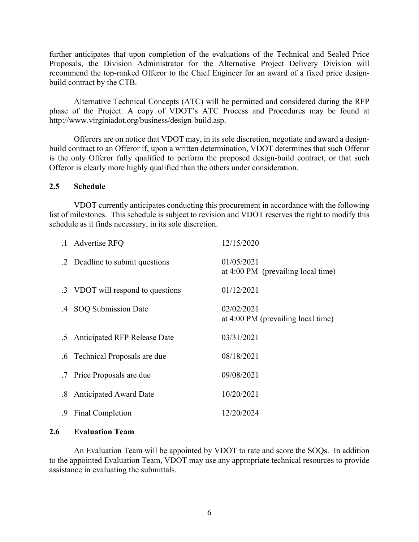further anticipates that upon completion of the evaluations of the Technical and Sealed Price Proposals, the Division Administrator for the Alternative Project Delivery Division will recommend the top-ranked Offeror to the Chief Engineer for an award of a fixed price designbuild contract by the CTB.

Alternative Technical Concepts (ATC) will be permitted and considered during the RFP phase of the Project. A copy of VDOT's ATC Process and Procedures may be found at http://www.virginiadot.org/business/design-build.asp.

 Offerors are on notice that VDOT may, in its sole discretion, negotiate and award a designbuild contract to an Offeror if, upon a written determination, VDOT determines that such Offeror is the only Offeror fully qualified to perform the proposed design-build contract, or that such Offeror is clearly more highly qualified than the others under consideration.

#### **2.5 Schedule**

VDOT currently anticipates conducting this procurement in accordance with the following list of milestones. This schedule is subject to revision and VDOT reserves the right to modify this schedule as it finds necessary, in its sole discretion.

|    | .1 Advertise RFQ                  | 12/15/2020                                                 |
|----|-----------------------------------|------------------------------------------------------------|
|    | .2 Deadline to submit questions   | 01/05/2021<br>at $4:00 \text{ PM}$ (prevailing local time) |
|    | .3 VDOT will respond to questions | 01/12/2021                                                 |
|    | .4 SOQ Submission Date            | 02/02/2021<br>at 4:00 PM (prevailing local time)           |
|    | .5 Anticipated RFP Release Date   | 03/31/2021                                                 |
|    | .6 Technical Proposals are due    | 08/18/2021                                                 |
|    | .7 Price Proposals are due        | 09/08/2021                                                 |
| .8 | <b>Anticipated Award Date</b>     | 10/20/2021                                                 |
| .9 | Final Completion                  | 12/20/2024                                                 |

#### **2.6 Evaluation Team**

 An Evaluation Team will be appointed by VDOT to rate and score the SOQs. In addition to the appointed Evaluation Team, VDOT may use any appropriate technical resources to provide assistance in evaluating the submittals.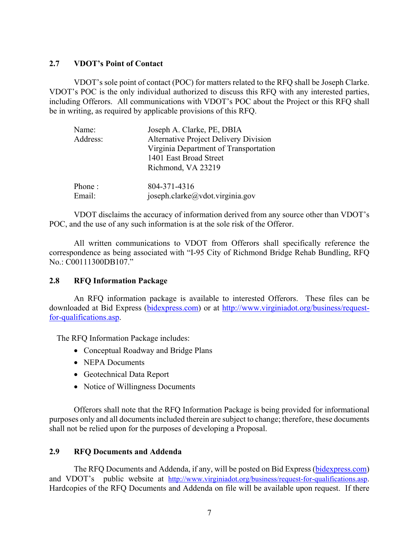#### **2.7 VDOT's Point of Contact**

 VDOT's sole point of contact (POC) for matters related to the RFQ shall be Joseph Clarke. VDOT's POC is the only individual authorized to discuss this RFQ with any interested parties, including Offerors. All communications with VDOT's POC about the Project or this RFQ shall be in writing, as required by applicable provisions of this RFQ.

| Name:    | Joseph A. Clarke, PE, DBIA                   |
|----------|----------------------------------------------|
| Address: | <b>Alternative Project Delivery Division</b> |
|          | Virginia Department of Transportation        |
|          | 1401 East Broad Street                       |
|          | Richmond, VA 23219                           |
| Phone:   | 804-371-4316                                 |
| Email:   | joseph.clarke@vdot.virginia.gov              |

VDOT disclaims the accuracy of information derived from any source other than VDOT's POC, and the use of any such information is at the sole risk of the Offeror.

All written communications to VDOT from Offerors shall specifically reference the correspondence as being associated with "I-95 City of Richmond Bridge Rehab Bundling, RFQ No.: C00111300DB107."

#### **2.8 RFQ Information Package**

 An RFQ information package is available to interested Offerors. These files can be downloaded at Bid Express (bidexpress.com) or at http://www.virginiadot.org/business/requestfor-qualifications.asp.

The RFQ Information Package includes:

- Conceptual Roadway and Bridge Plans
- NEPA Documents
- Geotechnical Data Report
- Notice of Willingness Documents

Offerors shall note that the RFQ Information Package is being provided for informational purposes only and all documents included therein are subject to change; therefore, these documents shall not be relied upon for the purposes of developing a Proposal.

# **2.9 RFQ Documents and Addenda**

 The RFQ Documents and Addenda, if any, will be posted on Bid Express (bidexpress.com) and VDOT's public website at http://www.virginiadot.org/business/request-for-qualifications.asp. Hardcopies of the RFQ Documents and Addenda on file will be available upon request. If there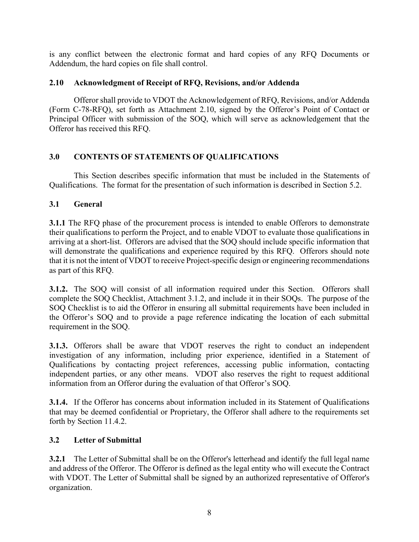is any conflict between the electronic format and hard copies of any RFQ Documents or Addendum, the hard copies on file shall control.

# **2.10 Acknowledgment of Receipt of RFQ, Revisions, and/or Addenda**

Offeror shall provide to VDOT the Acknowledgement of RFQ, Revisions, and/or Addenda (Form C-78-RFQ), set forth as Attachment 2.10, signed by the Offeror's Point of Contact or Principal Officer with submission of the SOQ, which will serve as acknowledgement that the Offeror has received this RFQ.

# **3.0 CONTENTS OF STATEMENTS OF QUALIFICATIONS**

This Section describes specific information that must be included in the Statements of Qualifications. The format for the presentation of such information is described in Section 5.2.

# **3.1 General**

**3.1.1** The RFQ phase of the procurement process is intended to enable Offerors to demonstrate their qualifications to perform the Project, and to enable VDOT to evaluate those qualifications in arriving at a short-list. Offerors are advised that the SOQ should include specific information that will demonstrate the qualifications and experience required by this RFQ. Offerors should note that it is not the intent of VDOT to receive Project-specific design or engineering recommendations as part of this RFQ.

**3.1.2.** The SOQ will consist of all information required under this Section. Offerors shall complete the SOQ Checklist, Attachment 3.1.2, and include it in their SOQs. The purpose of the SOQ Checklist is to aid the Offeror in ensuring all submittal requirements have been included in the Offeror's SOQ and to provide a page reference indicating the location of each submittal requirement in the SOQ.

**3.1.3.** Offerors shall be aware that VDOT reserves the right to conduct an independent investigation of any information, including prior experience, identified in a Statement of Qualifications by contacting project references, accessing public information, contacting independent parties, or any other means. VDOT also reserves the right to request additional information from an Offeror during the evaluation of that Offeror's SOQ.

**3.1.4.** If the Offeror has concerns about information included in its Statement of Qualifications that may be deemed confidential or Proprietary, the Offeror shall adhere to the requirements set forth by Section 11.4.2.

# **3.2 Letter of Submittal**

**3.2.1** The Letter of Submittal shall be on the Offeror's letterhead and identify the full legal name and address of the Offeror. The Offeror is defined as the legal entity who will execute the Contract with VDOT. The Letter of Submittal shall be signed by an authorized representative of Offeror's organization.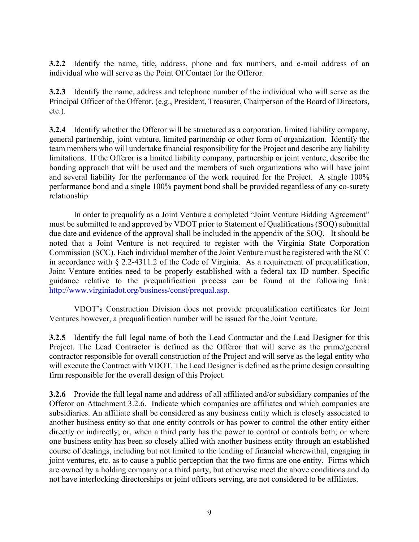**3.2.2** Identify the name, title, address, phone and fax numbers, and e-mail address of an individual who will serve as the Point Of Contact for the Offeror.

**3.2.3** Identify the name, address and telephone number of the individual who will serve as the Principal Officer of the Offeror. (e.g., President, Treasurer, Chairperson of the Board of Directors, etc.).

**3.2.4** Identify whether the Offeror will be structured as a corporation, limited liability company, general partnership, joint venture, limited partnership or other form of organization. Identify the team members who will undertake financial responsibility for the Project and describe any liability limitations. If the Offeror is a limited liability company, partnership or joint venture, describe the bonding approach that will be used and the members of such organizations who will have joint and several liability for the performance of the work required for the Project. A single 100% performance bond and a single 100% payment bond shall be provided regardless of any co-surety relationship.

In order to prequalify as a Joint Venture a completed "Joint Venture Bidding Agreement" must be submitted to and approved by VDOT prior to Statement of Qualifications (SOQ) submittal due date and evidence of the approval shall be included in the appendix of the SOQ. It should be noted that a Joint Venture is not required to register with the Virginia State Corporation Commission (SCC). Each individual member of the Joint Venture must be registered with the SCC in accordance with § 2.2-4311.2 of the Code of Virginia. As a requirement of prequalification, Joint Venture entities need to be properly established with a federal tax ID number. Specific guidance relative to the prequalification process can be found at the following link: http://www.virginiadot.org/business/const/prequal.asp.

VDOT's Construction Division does not provide prequalification certificates for Joint Ventures however, a prequalification number will be issued for the Joint Venture.

**3.2.5** Identify the full legal name of both the Lead Contractor and the Lead Designer for this Project. The Lead Contractor is defined as the Offeror that will serve as the prime/general contractor responsible for overall construction of the Project and will serve as the legal entity who will execute the Contract with VDOT. The Lead Designer is defined as the prime design consulting firm responsible for the overall design of this Project.

**3.2.6** Provide the full legal name and address of all affiliated and/or subsidiary companies of the Offeror on Attachment 3.2.6. Indicate which companies are affiliates and which companies are subsidiaries. An affiliate shall be considered as any business entity which is closely associated to another business entity so that one entity controls or has power to control the other entity either directly or indirectly; or, when a third party has the power to control or controls both; or where one business entity has been so closely allied with another business entity through an established course of dealings, including but not limited to the lending of financial wherewithal, engaging in joint ventures, etc. as to cause a public perception that the two firms are one entity. Firms which are owned by a holding company or a third party, but otherwise meet the above conditions and do not have interlocking directorships or joint officers serving, are not considered to be affiliates.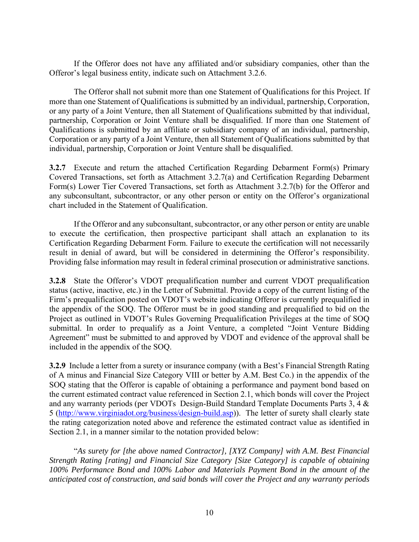If the Offeror does not have any affiliated and/or subsidiary companies, other than the Offeror's legal business entity, indicate such on Attachment 3.2.6.

The Offeror shall not submit more than one Statement of Qualifications for this Project. If more than one Statement of Qualifications is submitted by an individual, partnership, Corporation, or any party of a Joint Venture, then all Statement of Qualifications submitted by that individual, partnership, Corporation or Joint Venture shall be disqualified. If more than one Statement of Qualifications is submitted by an affiliate or subsidiary company of an individual, partnership, Corporation or any party of a Joint Venture, then all Statement of Qualifications submitted by that individual, partnership, Corporation or Joint Venture shall be disqualified.

**3.2.7** Execute and return the attached Certification Regarding Debarment Form(s) Primary Covered Transactions, set forth as Attachment 3.2.7(a) and Certification Regarding Debarment Form(s) Lower Tier Covered Transactions, set forth as Attachment 3.2.7(b) for the Offeror and any subconsultant, subcontractor, or any other person or entity on the Offeror's organizational chart included in the Statement of Qualification.

If the Offeror and any subconsultant, subcontractor, or any other person or entity are unable to execute the certification, then prospective participant shall attach an explanation to its Certification Regarding Debarment Form. Failure to execute the certification will not necessarily result in denial of award, but will be considered in determining the Offeror's responsibility. Providing false information may result in federal criminal prosecution or administrative sanctions.

**3.2.8** State the Offeror's VDOT prequalification number and current VDOT prequalification status (active, inactive, etc.) in the Letter of Submittal. Provide a copy of the current listing of the Firm's prequalification posted on VDOT's website indicating Offeror is currently prequalified in the appendix of the SOQ. The Offeror must be in good standing and prequalified to bid on the Project as outlined in VDOT's Rules Governing Prequalification Privileges at the time of SOQ submittal. In order to prequalify as a Joint Venture, a completed "Joint Venture Bidding Agreement" must be submitted to and approved by VDOT and evidence of the approval shall be included in the appendix of the SOQ.

**3.2.9** Include a letter from a surety or insurance company (with a Best's Financial Strength Rating of A minus and Financial Size Category VIII or better by A.M. Best Co.) in the appendix of the SOQ stating that the Offeror is capable of obtaining a performance and payment bond based on the current estimated contract value referenced in Section 2.1, which bonds will cover the Project and any warranty periods (per VDOTs Design-Build Standard Template Documents Parts 3, 4 & 5 (http://www.virginiadot.org/business/design-build.asp)). The letter of surety shall clearly state the rating categorization noted above and reference the estimated contract value as identified in Section 2.1, in a manner similar to the notation provided below:

"*As surety for [the above named Contractor], [XYZ Company] with A.M. Best Financial Strength Rating [rating] and Financial Size Category [Size Category] is capable of obtaining 100% Performance Bond and 100% Labor and Materials Payment Bond in the amount of the anticipated cost of construction, and said bonds will cover the Project and any warranty periods*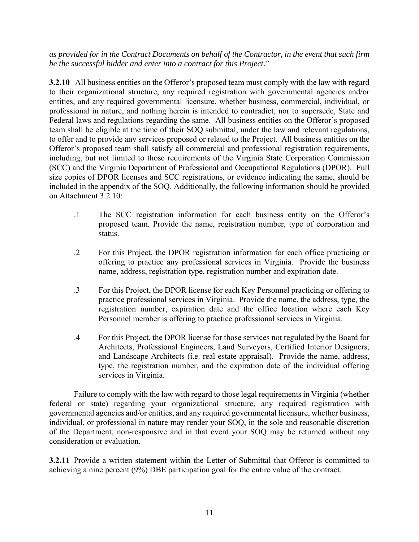*as provided for in the Contract Documents on behalf of the Contractor, in the event that such firm be the successful bidder and enter into a contract for this Project*."

**3.2.10** All business entities on the Offeror's proposed team must comply with the law with regard to their organizational structure, any required registration with governmental agencies and/or entities, and any required governmental licensure, whether business, commercial, individual, or professional in nature, and nothing herein is intended to contradict, nor to supersede, State and Federal laws and regulations regarding the same. All business entities on the Offeror's proposed team shall be eligible at the time of their SOQ submittal, under the law and relevant regulations, to offer and to provide any services proposed or related to the Project. All business entities on the Offeror's proposed team shall satisfy all commercial and professional registration requirements, including, but not limited to those requirements of the Virginia State Corporation Commission (SCC) and the Virginia Department of Professional and Occupational Regulations (DPOR). Full size copies of DPOR licenses and SCC registrations, or evidence indicating the same, should be included in the appendix of the SOQ. Additionally, the following information should be provided on Attachment 3.2.10:

- .1 The SCC registration information for each business entity on the Offeror's proposed team. Provide the name, registration number, type of corporation and status.
- .2 For this Project, the DPOR registration information for each office practicing or offering to practice any professional services in Virginia. Provide the business name, address, registration type, registration number and expiration date.
- .3 For this Project, the DPOR license for each Key Personnel practicing or offering to practice professional services in Virginia. Provide the name, the address, type, the registration number, expiration date and the office location where each Key Personnel member is offering to practice professional services in Virginia.
- .4 For this Project, the DPOR license for those services not regulated by the Board for Architects, Professional Engineers, Land Surveyors, Certified Interior Designers, and Landscape Architects (i.e. real estate appraisal). Provide the name, address, type, the registration number, and the expiration date of the individual offering services in Virginia.

Failure to comply with the law with regard to those legal requirements in Virginia (whether federal or state) regarding your organizational structure, any required registration with governmental agencies and/or entities, and any required governmental licensure, whether business, individual, or professional in nature may render your SOQ, in the sole and reasonable discretion of the Department, non-responsive and in that event your SOQ may be returned without any consideration or evaluation.

**3.2.11** Provide a written statement within the Letter of Submittal that Offeror is committed to achieving a nine percent (9%) DBE participation goal for the entire value of the contract.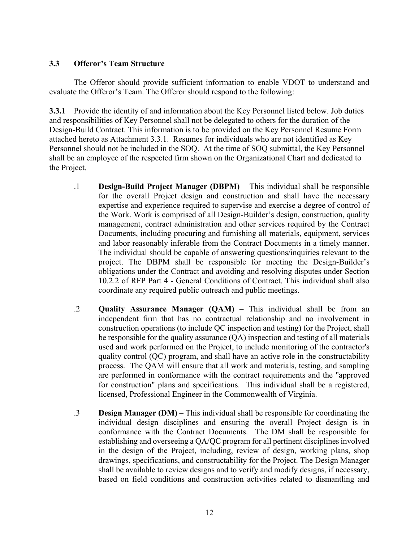## **3.3 Offeror's Team Structure**

The Offeror should provide sufficient information to enable VDOT to understand and evaluate the Offeror's Team. The Offeror should respond to the following:

**3.3.1** Provide the identity of and information about the Key Personnel listed below. Job duties and responsibilities of Key Personnel shall not be delegated to others for the duration of the Design-Build Contract. This information is to be provided on the Key Personnel Resume Form attached hereto as Attachment 3.3.1. Resumes for individuals who are not identified as Key Personnel should not be included in the SOQ. At the time of SOQ submittal, the Key Personnel shall be an employee of the respected firm shown on the Organizational Chart and dedicated to the Project.

- .1 **Design-Build Project Manager (DBPM)**  This individual shall be responsible for the overall Project design and construction and shall have the necessary expertise and experience required to supervise and exercise a degree of control of the Work. Work is comprised of all Design-Builder's design, construction, quality management, contract administration and other services required by the Contract Documents, including procuring and furnishing all materials, equipment, services and labor reasonably inferable from the Contract Documents in a timely manner. The individual should be capable of answering questions/inquiries relevant to the project. The DBPM shall be responsible for meeting the Design-Builder's obligations under the Contract and avoiding and resolving disputes under Section 10.2.2 of RFP Part 4 - General Conditions of Contract. This individual shall also coordinate any required public outreach and public meetings.
- .2 **Quality Assurance Manager (QAM)** This individual shall be from an independent firm that has no contractual relationship and no involvement in construction operations (to include QC inspection and testing) for the Project, shall be responsible for the quality assurance (QA) inspection and testing of all materials used and work performed on the Project, to include monitoring of the contractor's quality control (QC) program, and shall have an active role in the constructability process. The QAM will ensure that all work and materials, testing, and sampling are performed in conformance with the contract requirements and the "approved for construction" plans and specifications. This individual shall be a registered, licensed, Professional Engineer in the Commonwealth of Virginia.
- .3 **Design Manager (DM)** This individual shall be responsible for coordinating the individual design disciplines and ensuring the overall Project design is in conformance with the Contract Documents. The DM shall be responsible for establishing and overseeing a QA/QC program for all pertinent disciplines involved in the design of the Project, including, review of design, working plans, shop drawings, specifications, and constructability for the Project. The Design Manager shall be available to review designs and to verify and modify designs, if necessary, based on field conditions and construction activities related to dismantling and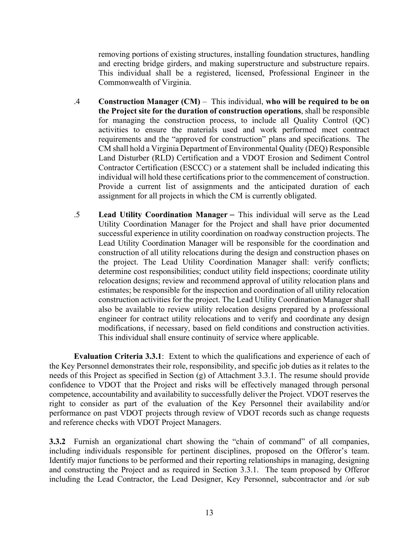removing portions of existing structures, installing foundation structures, handling and erecting bridge girders, and making superstructure and substructure repairs. This individual shall be a registered, licensed, Professional Engineer in the Commonwealth of Virginia.

- .4 **Construction Manager (CM)** This individual, **who will be required to be on the Project site for the duration of construction operations**, shall be responsible for managing the construction process, to include all Quality Control (QC) activities to ensure the materials used and work performed meet contract requirements and the "approved for construction" plans and specifications. The CM shall hold a Virginia Department of Environmental Quality (DEQ) Responsible Land Disturber (RLD) Certification and a VDOT Erosion and Sediment Control Contractor Certification (ESCCC) or a statement shall be included indicating this individual will hold these certifications prior to the commencement of construction. Provide a current list of assignments and the anticipated duration of each assignment for all projects in which the CM is currently obligated.
- .5 **Lead Utility Coordination Manager** This individual will serve as the Lead Utility Coordination Manager for the Project and shall have prior documented successful experience in utility coordination on roadway construction projects. The Lead Utility Coordination Manager will be responsible for the coordination and construction of all utility relocations during the design and construction phases on the project. The Lead Utility Coordination Manager shall: verify conflicts; determine cost responsibilities; conduct utility field inspections; coordinate utility relocation designs; review and recommend approval of utility relocation plans and estimates; be responsible for the inspection and coordination of all utility relocation construction activities for the project. The Lead Utility Coordination Manager shall also be available to review utility relocation designs prepared by a professional engineer for contract utility relocations and to verify and coordinate any design modifications, if necessary, based on field conditions and construction activities. This individual shall ensure continuity of service where applicable.

**Evaluation Criteria 3.3.1**: Extent to which the qualifications and experience of each of the Key Personnel demonstrates their role, responsibility, and specific job duties as it relates to the needs of this Project as specified in Section (g) of Attachment 3.3.1. The resume should provide confidence to VDOT that the Project and risks will be effectively managed through personal competence, accountability and availability to successfully deliver the Project. VDOT reserves the right to consider as part of the evaluation of the Key Personnel their availability and/or performance on past VDOT projects through review of VDOT records such as change requests and reference checks with VDOT Project Managers.

**3.3.2** Furnish an organizational chart showing the "chain of command" of all companies, including individuals responsible for pertinent disciplines, proposed on the Offeror's team. Identify major functions to be performed and their reporting relationships in managing, designing and constructing the Project and as required in Section 3.3.1. The team proposed by Offeror including the Lead Contractor, the Lead Designer, Key Personnel, subcontractor and /or sub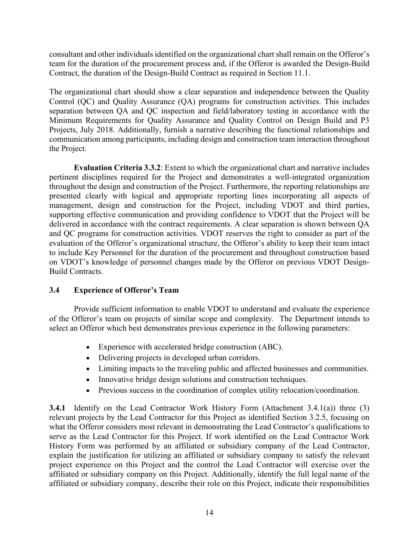consultant and other individuals identified on the organizational chart shall remain on the Offeror's team for the duration of the procurement process and, if the Offeror is awarded the Design-Build Contract, the duration of the Design-Build Contract as required in Section 11.1.

The organizational chart should show a clear separation and independence between the Quality Control (QC) and Quality Assurance (QA) programs for construction activities. This includes separation between QA and QC inspection and field/laboratory testing in accordance with the Minimum Requirements for Quality Assurance and Quality Control on Design Build and P3 Projects, July 2018. Additionally, furnish a narrative describing the functional relationships and communication among participants, including design and construction team interaction throughout the Project.

**Evaluation Criteria 3.3.2**: Extent to which the organizational chart and narrative includes pertinent disciplines required for the Project and demonstrates a well-integrated organization throughout the design and construction of the Project. Furthermore, the reporting relationships are presented clearly with logical and appropriate reporting lines incorporating all aspects of management, design and construction for the Project, including VDOT and third parties, supporting effective communication and providing confidence to VDOT that the Project will be delivered in accordance with the contract requirements. A clear separation is shown between QA and QC programs for construction activities. VDOT reserves the right to consider as part of the evaluation of the Offeror's organizational structure, the Offeror's ability to keep their team intact to include Key Personnel for the duration of the procurement and throughout construction based on VDOT's knowledge of personnel changes made by the Offeror on previous VDOT Design-Build Contracts.

# **3.4 Experience of Offeror's Team**

Provide sufficient information to enable VDOT to understand and evaluate the experience of the Offeror's team on projects of similar scope and complexity. The Department intends to select an Offeror which best demonstrates previous experience in the following parameters:

- Experience with accelerated bridge construction (ABC).
- Delivering projects in developed urban corridors.
- Limiting impacts to the traveling public and affected businesses and communities.
- Innovative bridge design solutions and construction techniques.
- Previous success in the coordination of complex utility relocation/coordination.

**3.4.1** Identify on the Lead Contractor Work History Form (Attachment 3.4.1(a)) three (3) relevant projects by the Lead Contractor for this Project as identified Section 3.2.5, focusing on what the Offeror considers most relevant in demonstrating the Lead Contractor's qualifications to serve as the Lead Contractor for this Project. If work identified on the Lead Contractor Work History Form was performed by an affiliated or subsidiary company of the Lead Contractor, explain the justification for utilizing an affiliated or subsidiary company to satisfy the relevant project experience on this Project and the control the Lead Contractor will exercise over the affiliated or subsidiary company on this Project. Additionally, identify the full legal name of the affiliated or subsidiary company, describe their role on this Project, indicate their responsibilities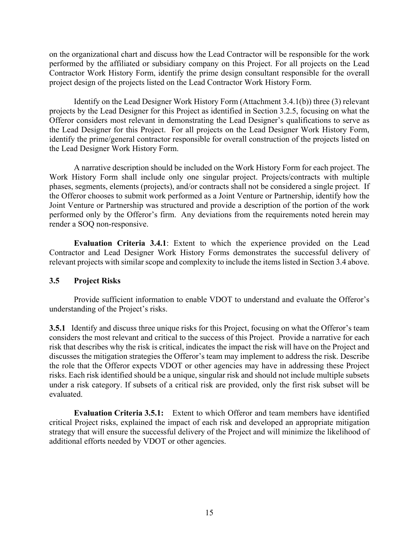on the organizational chart and discuss how the Lead Contractor will be responsible for the work performed by the affiliated or subsidiary company on this Project. For all projects on the Lead Contractor Work History Form, identify the prime design consultant responsible for the overall project design of the projects listed on the Lead Contractor Work History Form.

Identify on the Lead Designer Work History Form (Attachment 3.4.1(b)) three (3) relevant projects by the Lead Designer for this Project as identified in Section 3.2.5, focusing on what the Offeror considers most relevant in demonstrating the Lead Designer's qualifications to serve as the Lead Designer for this Project. For all projects on the Lead Designer Work History Form, identify the prime/general contractor responsible for overall construction of the projects listed on the Lead Designer Work History Form.

A narrative description should be included on the Work History Form for each project. The Work History Form shall include only one singular project. Projects/contracts with multiple phases, segments, elements (projects), and/or contracts shall not be considered a single project. If the Offeror chooses to submit work performed as a Joint Venture or Partnership, identify how the Joint Venture or Partnership was structured and provide a description of the portion of the work performed only by the Offeror's firm. Any deviations from the requirements noted herein may render a SOQ non-responsive.

**Evaluation Criteria 3.4.1**: Extent to which the experience provided on the Lead Contractor and Lead Designer Work History Forms demonstrates the successful delivery of relevant projects with similar scope and complexity to include the items listed in Section 3.4 above.

# **3.5 Project Risks**

Provide sufficient information to enable VDOT to understand and evaluate the Offeror's understanding of the Project's risks.

**3.5.1** Identify and discuss three unique risks for this Project, focusing on what the Offeror's team considers the most relevant and critical to the success of this Project. Provide a narrative for each risk that describes why the risk is critical, indicates the impact the risk will have on the Project and discusses the mitigation strategies the Offeror's team may implement to address the risk. Describe the role that the Offeror expects VDOT or other agencies may have in addressing these Project risks. Each risk identified should be a unique, singular risk and should not include multiple subsets under a risk category. If subsets of a critical risk are provided, only the first risk subset will be evaluated.

**Evaluation Criteria 3.5.1:** Extent to which Offeror and team members have identified critical Project risks, explained the impact of each risk and developed an appropriate mitigation strategy that will ensure the successful delivery of the Project and will minimize the likelihood of additional efforts needed by VDOT or other agencies.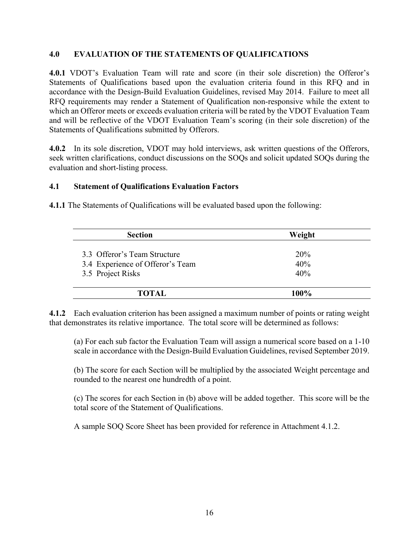# **4.0 EVALUATION OF THE STATEMENTS OF QUALIFICATIONS**

**4.0.1** VDOT's Evaluation Team will rate and score (in their sole discretion) the Offeror's Statements of Qualifications based upon the evaluation criteria found in this RFQ and in accordance with the Design-Build Evaluation Guidelines, revised May 2014. Failure to meet all RFQ requirements may render a Statement of Qualification non-responsive while the extent to which an Offeror meets or exceeds evaluation criteria will be rated by the VDOT Evaluation Team and will be reflective of the VDOT Evaluation Team's scoring (in their sole discretion) of the Statements of Qualifications submitted by Offerors.

**4.0.2** In its sole discretion, VDOT may hold interviews, ask written questions of the Offerors, seek written clarifications, conduct discussions on the SOQs and solicit updated SOQs during the evaluation and short-listing process.

#### **4.1 Statement of Qualifications Evaluation Factors**

**4.1.1** The Statements of Qualifications will be evaluated based upon the following:

| <b>Section</b>                   | Weight     |  |
|----------------------------------|------------|--|
| 3.3 Offeror's Team Structure     | <b>20%</b> |  |
| 3.4 Experience of Offeror's Team | 40%        |  |
| 3.5 Project Risks                | 40%        |  |
| <b>TOTAL</b>                     | 100%       |  |
|                                  |            |  |

**4.1.2** Each evaluation criterion has been assigned a maximum number of points or rating weight that demonstrates its relative importance. The total score will be determined as follows:

(a) For each sub factor the Evaluation Team will assign a numerical score based on a 1-10 scale in accordance with the Design-Build Evaluation Guidelines, revised September 2019.

(b) The score for each Section will be multiplied by the associated Weight percentage and rounded to the nearest one hundredth of a point.

(c) The scores for each Section in (b) above will be added together. This score will be the total score of the Statement of Qualifications.

A sample SOQ Score Sheet has been provided for reference in Attachment 4.1.2.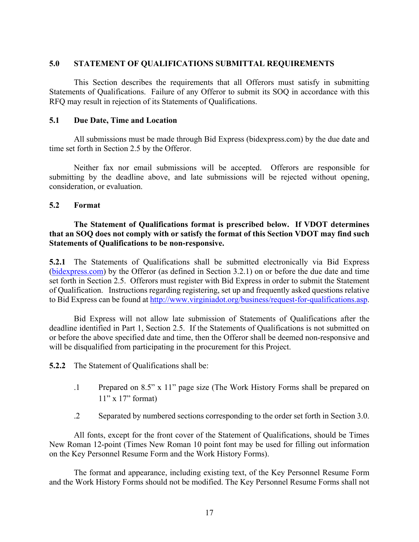#### **5.0 STATEMENT OF QUALIFICATIONS SUBMITTAL REQUIREMENTS**

This Section describes the requirements that all Offerors must satisfy in submitting Statements of Qualifications. Failure of any Offeror to submit its SOQ in accordance with this RFQ may result in rejection of its Statements of Qualifications.

#### **5.1 Due Date, Time and Location**

 All submissions must be made through Bid Express (bidexpress.com) by the due date and time set forth in Section 2.5 by the Offeror.

Neither fax nor email submissions will be accepted. Offerors are responsible for submitting by the deadline above, and late submissions will be rejected without opening, consideration, or evaluation.

#### **5.2 Format**

#### **The Statement of Qualifications format is prescribed below. If VDOT determines that an SOQ does not comply with or satisfy the format of this Section VDOT may find such Statements of Qualifications to be non-responsive.**

**5.2.1** The Statements of Qualifications shall be submitted electronically via Bid Express (bidexpress.com) by the Offeror (as defined in Section 3.2.1) on or before the due date and time set forth in Section 2.5. Offerors must register with Bid Express in order to submit the Statement of Qualification. Instructions regarding registering, set up and frequently asked questions relative to Bid Express can be found at http://www.virginiadot.org/business/request-for-qualifications.asp.

Bid Express will not allow late submission of Statements of Qualifications after the deadline identified in Part 1, Section 2.5. If the Statements of Qualifications is not submitted on or before the above specified date and time, then the Offeror shall be deemed non-responsive and will be disqualified from participating in the procurement for this Project.

**5.2.2** The Statement of Qualifications shall be:

- .1 Prepared on 8.5" x 11" page size (The Work History Forms shall be prepared on  $11"$  x  $17"$  format)
- .2 Separated by numbered sections corresponding to the order set forth in Section 3.0.

All fonts, except for the front cover of the Statement of Qualifications, should be Times New Roman 12-point (Times New Roman 10 point font may be used for filling out information on the Key Personnel Resume Form and the Work History Forms).

The format and appearance, including existing text, of the Key Personnel Resume Form and the Work History Forms should not be modified. The Key Personnel Resume Forms shall not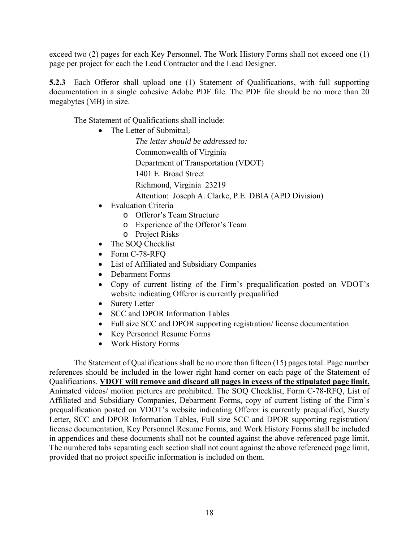exceed two (2) pages for each Key Personnel. The Work History Forms shall not exceed one (1) page per project for each the Lead Contractor and the Lead Designer.

**5.2.3** Each Offeror shall upload one (1) Statement of Qualifications, with full supporting documentation in a single cohesive Adobe PDF file. The PDF file should be no more than 20 megabytes (MB) in size.

The Statement of Qualifications shall include:

• The Letter of Submittal;

*The letter should be addressed to:*  Commonwealth of Virginia Department of Transportation (VDOT) 1401 E. Broad Street Richmond, Virginia 23219

Attention: Joseph A. Clarke, P.E. DBIA (APD Division)

- Evaluation Criteria
	- o Offeror's Team Structure
	- o Experience of the Offeror's Team
	- o Project Risks
- The SOQ Checklist
- Form C-78-RFO
- List of Affiliated and Subsidiary Companies
- Debarment Forms
- Copy of current listing of the Firm's prequalification posted on VDOT's website indicating Offeror is currently prequalified
- Surety Letter
- SCC and DPOR Information Tables
- Full size SCC and DPOR supporting registration/license documentation
- Key Personnel Resume Forms
- Work History Forms

The Statement of Qualifications shall be no more than fifteen (15) pages total. Page number references should be included in the lower right hand corner on each page of the Statement of Qualifications. **VDOT will remove and discard all pages in excess of the stipulated page limit.** Animated videos/ motion pictures are prohibited. The SOQ Checklist, Form C-78-RFQ, List of Affiliated and Subsidiary Companies, Debarment Forms, copy of current listing of the Firm's prequalification posted on VDOT's website indicating Offeror is currently prequalified, Surety Letter, SCC and DPOR Information Tables, Full size SCC and DPOR supporting registration/ license documentation, Key Personnel Resume Forms, and Work History Forms shall be included in appendices and these documents shall not be counted against the above-referenced page limit. The numbered tabs separating each section shall not count against the above referenced page limit, provided that no project specific information is included on them.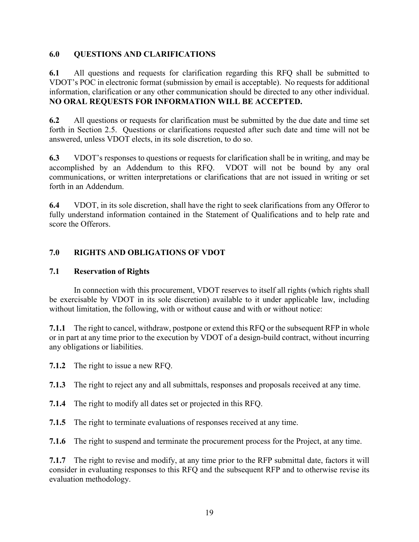# **6.0 QUESTIONS AND CLARIFICATIONS**

**6.1** All questions and requests for clarification regarding this RFQ shall be submitted to VDOT's POC in electronic format (submission by email is acceptable). No requests for additional information, clarification or any other communication should be directed to any other individual. **NO ORAL REQUESTS FOR INFORMATION WILL BE ACCEPTED.** 

**6.2** All questions or requests for clarification must be submitted by the due date and time set forth in Section 2.5. Questions or clarifications requested after such date and time will not be answered, unless VDOT elects, in its sole discretion, to do so.

**6.3** VDOT's responses to questions or requests for clarification shall be in writing, and may be accomplished by an Addendum to this RFQ. VDOT will not be bound by any oral communications, or written interpretations or clarifications that are not issued in writing or set forth in an Addendum.

**6.4** VDOT, in its sole discretion, shall have the right to seek clarifications from any Offeror to fully understand information contained in the Statement of Qualifications and to help rate and score the Offerors.

# **7.0 RIGHTS AND OBLIGATIONS OF VDOT**

# **7.1 Reservation of Rights**

In connection with this procurement, VDOT reserves to itself all rights (which rights shall be exercisable by VDOT in its sole discretion) available to it under applicable law, including without limitation, the following, with or without cause and with or without notice:

**7.1.1** The right to cancel, withdraw, postpone or extend this RFQ or the subsequent RFP in whole or in part at any time prior to the execution by VDOT of a design-build contract, without incurring any obligations or liabilities.

**7.1.2** The right to issue a new RFQ.

**7.1.3** The right to reject any and all submittals, responses and proposals received at any time.

- **7.1.4** The right to modify all dates set or projected in this RFQ.
- **7.1.5** The right to terminate evaluations of responses received at any time.

**7.1.6** The right to suspend and terminate the procurement process for the Project, at any time.

**7.1.7** The right to revise and modify, at any time prior to the RFP submittal date, factors it will consider in evaluating responses to this RFQ and the subsequent RFP and to otherwise revise its evaluation methodology.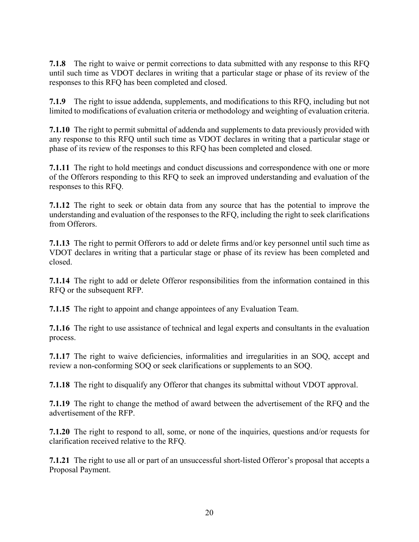**7.1.8** The right to waive or permit corrections to data submitted with any response to this RFQ until such time as VDOT declares in writing that a particular stage or phase of its review of the responses to this RFQ has been completed and closed.

**7.1.9** The right to issue addenda, supplements, and modifications to this RFQ, including but not limited to modifications of evaluation criteria or methodology and weighting of evaluation criteria.

**7.1.10** The right to permit submittal of addenda and supplements to data previously provided with any response to this RFQ until such time as VDOT declares in writing that a particular stage or phase of its review of the responses to this RFQ has been completed and closed.

**7.1.11** The right to hold meetings and conduct discussions and correspondence with one or more of the Offerors responding to this RFQ to seek an improved understanding and evaluation of the responses to this RFQ.

**7.1.12** The right to seek or obtain data from any source that has the potential to improve the understanding and evaluation of the responses to the RFQ, including the right to seek clarifications from Offerors.

**7.1.13** The right to permit Offerors to add or delete firms and/or key personnel until such time as VDOT declares in writing that a particular stage or phase of its review has been completed and closed.

**7.1.14** The right to add or delete Offeror responsibilities from the information contained in this RFQ or the subsequent RFP.

**7.1.15** The right to appoint and change appointees of any Evaluation Team.

**7.1.16** The right to use assistance of technical and legal experts and consultants in the evaluation process.

**7.1.17** The right to waive deficiencies, informalities and irregularities in an SOQ, accept and review a non-conforming SOQ or seek clarifications or supplements to an SOQ.

**7.1.18** The right to disqualify any Offeror that changes its submittal without VDOT approval.

**7.1.19** The right to change the method of award between the advertisement of the RFQ and the advertisement of the RFP.

**7.1.20** The right to respond to all, some, or none of the inquiries, questions and/or requests for clarification received relative to the RFQ.

**7.1.21** The right to use all or part of an unsuccessful short-listed Offeror's proposal that accepts a Proposal Payment.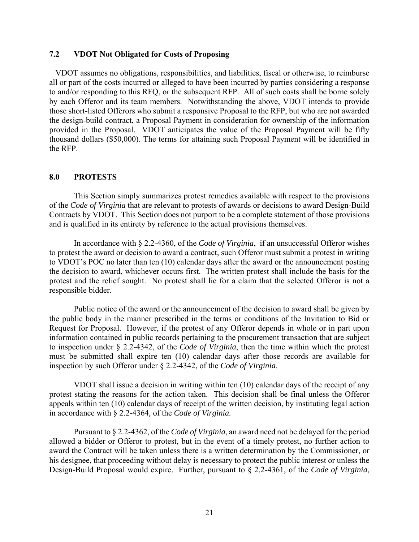#### **7.2 VDOT Not Obligated for Costs of Proposing**

 VDOT assumes no obligations, responsibilities, and liabilities, fiscal or otherwise, to reimburse all or part of the costs incurred or alleged to have been incurred by parties considering a response to and/or responding to this RFQ, or the subsequent RFP. All of such costs shall be borne solely by each Offeror and its team members. Notwithstanding the above, VDOT intends to provide those short-listed Offerors who submit a responsive Proposal to the RFP, but who are not awarded the design-build contract, a Proposal Payment in consideration for ownership of the information provided in the Proposal. VDOT anticipates the value of the Proposal Payment will be fifty thousand dollars (\$50,000). The terms for attaining such Proposal Payment will be identified in the RFP.

#### **8.0 PROTESTS**

This Section simply summarizes protest remedies available with respect to the provisions of the *Code of Virginia* that are relevant to protests of awards or decisions to award Design-Build Contracts by VDOT. This Section does not purport to be a complete statement of those provisions and is qualified in its entirety by reference to the actual provisions themselves.

In accordance with § 2.2-4360, of the *Code of Virginia*, if an unsuccessful Offeror wishes to protest the award or decision to award a contract, such Offeror must submit a protest in writing to VDOT's POC no later than ten (10) calendar days after the award or the announcement posting the decision to award, whichever occurs first. The written protest shall include the basis for the protest and the relief sought. No protest shall lie for a claim that the selected Offeror is not a responsible bidder.

Public notice of the award or the announcement of the decision to award shall be given by the public body in the manner prescribed in the terms or conditions of the Invitation to Bid or Request for Proposal. However, if the protest of any Offeror depends in whole or in part upon information contained in public records pertaining to the procurement transaction that are subject to inspection under § 2.2-4342, of the *Code of Virginia*, then the time within which the protest must be submitted shall expire ten (10) calendar days after those records are available for inspection by such Offeror under § 2.2-4342, of the *Code of Virginia*.

VDOT shall issue a decision in writing within ten (10) calendar days of the receipt of any protest stating the reasons for the action taken. This decision shall be final unless the Offeror appeals within ten (10) calendar days of receipt of the written decision, by instituting legal action in accordance with § 2.2-4364*,* of the *Code of Virginia.* 

Pursuant to § 2.2-4362, of the *Code of Virginia*, an award need not be delayed for the period allowed a bidder or Offeror to protest, but in the event of a timely protest, no further action to award the Contract will be taken unless there is a written determination by the Commissioner, or his designee, that proceeding without delay is necessary to protect the public interest or unless the Design-Build Proposal would expire. Further, pursuant to § 2.2-4361, of the *Code of Virginia*,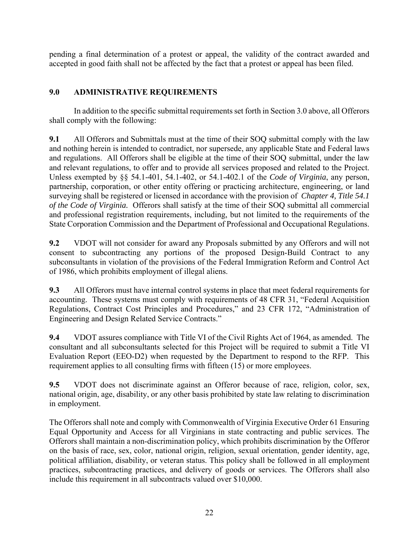pending a final determination of a protest or appeal, the validity of the contract awarded and accepted in good faith shall not be affected by the fact that a protest or appeal has been filed.

# **9.0 ADMINISTRATIVE REQUIREMENTS**

In addition to the specific submittal requirements set forth in Section 3.0 above, all Offerors shall comply with the following:

**9.1** All Offerors and Submittals must at the time of their SOQ submittal comply with the law and nothing herein is intended to contradict, nor supersede, any applicable State and Federal laws and regulations. All Offerors shall be eligible at the time of their SOQ submittal, under the law and relevant regulations, to offer and to provide all services proposed and related to the Project. Unless exempted by §§ 54.1-401, 54.1-402, or 54.1-402.1 of the *Code of Virginia*, any person, partnership, corporation, or other entity offering or practicing architecture, engineering, or land surveying shall be registered or licensed in accordance with the provision of *Chapter 4, Title 54.1 of the Code of Virginia.* Offerors shall satisfy at the time of their SOQ submittal all commercial and professional registration requirements, including, but not limited to the requirements of the State Corporation Commission and the Department of Professional and Occupational Regulations.

**9.2** VDOT will not consider for award any Proposals submitted by any Offerors and will not consent to subcontracting any portions of the proposed Design-Build Contract to any subconsultants in violation of the provisions of the Federal Immigration Reform and Control Act of 1986, which prohibits employment of illegal aliens.

**9.3** All Offerors must have internal control systems in place that meet federal requirements for accounting. These systems must comply with requirements of 48 CFR 31, "Federal Acquisition Regulations, Contract Cost Principles and Procedures," and 23 CFR 172, "Administration of Engineering and Design Related Service Contracts."

**9.4** VDOT assures compliance with Title VI of the Civil Rights Act of 1964, as amended. The consultant and all subconsultants selected for this Project will be required to submit a Title VI Evaluation Report (EEO-D2) when requested by the Department to respond to the RFP. This requirement applies to all consulting firms with fifteen (15) or more employees.

**9.5** VDOT does not discriminate against an Offeror because of race, religion, color, sex, national origin, age, disability, or any other basis prohibited by state law relating to discrimination in employment.

The Offerors shall note and comply with Commonwealth of Virginia Executive Order 61 Ensuring Equal Opportunity and Access for all Virginians in state contracting and public services. The Offerors shall maintain a non-discrimination policy, which prohibits discrimination by the Offeror on the basis of race, sex, color, national origin, religion, sexual orientation, gender identity, age, political affiliation, disability, or veteran status. This policy shall be followed in all employment practices, subcontracting practices, and delivery of goods or services. The Offerors shall also include this requirement in all subcontracts valued over \$10,000.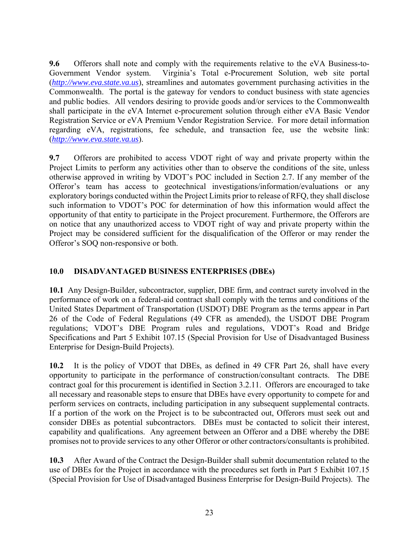**9.6** Offerors shall note and comply with the requirements relative to the eVA Business-to-Government Vendor system. Virginia's Total e-Procurement Solution, web site portal (*http://www.eva.state.va.us*), streamlines and automates government purchasing activities in the Commonwealth. The portal is the gateway for vendors to conduct business with state agencies and public bodies. All vendors desiring to provide goods and/or services to the Commonwealth shall participate in the eVA Internet e-procurement solution through either eVA Basic Vendor Registration Service or eVA Premium Vendor Registration Service. For more detail information regarding eVA, registrations, fee schedule, and transaction fee, use the website link: (*http://www.eva.state.va.us*).

**9.7** Offerors are prohibited to access VDOT right of way and private property within the Project Limits to perform any activities other than to observe the conditions of the site, unless otherwise approved in writing by VDOT's POC included in Section 2.7. If any member of the Offeror's team has access to geotechnical investigations/information/evaluations or any exploratory borings conducted within the Project Limits prior to release of RFQ, they shall disclose such information to VDOT's POC for determination of how this information would affect the opportunity of that entity to participate in the Project procurement. Furthermore, the Offerors are on notice that any unauthorized access to VDOT right of way and private property within the Project may be considered sufficient for the disqualification of the Offeror or may render the Offeror's SOQ non-responsive or both.

# **10.0 DISADVANTAGED BUSINESS ENTERPRISES (DBEs)**

**10.1** Any Design-Builder, subcontractor, supplier, DBE firm, and contract surety involved in the performance of work on a federal-aid contract shall comply with the terms and conditions of the United States Department of Transportation (USDOT) DBE Program as the terms appear in Part 26 of the Code of Federal Regulations (49 CFR as amended), the USDOT DBE Program regulations; VDOT's DBE Program rules and regulations, VDOT's Road and Bridge Specifications and Part 5 Exhibit 107.15 (Special Provision for Use of Disadvantaged Business Enterprise for Design-Build Projects).

**10.2** It is the policy of VDOT that DBEs, as defined in 49 CFR Part 26, shall have every opportunity to participate in the performance of construction/consultant contracts. The DBE contract goal for this procurement is identified in Section 3.2.11. Offerors are encouraged to take all necessary and reasonable steps to ensure that DBEs have every opportunity to compete for and perform services on contracts, including participation in any subsequent supplemental contracts. If a portion of the work on the Project is to be subcontracted out, Offerors must seek out and consider DBEs as potential subcontractors. DBEs must be contacted to solicit their interest, capability and qualifications. Any agreement between an Offeror and a DBE whereby the DBE promises not to provide services to any other Offeror or other contractors/consultants is prohibited.

**10.3** After Award of the Contract the Design-Builder shall submit documentation related to the use of DBEs for the Project in accordance with the procedures set forth in Part 5 Exhibit 107.15 (Special Provision for Use of Disadvantaged Business Enterprise for Design-Build Projects). The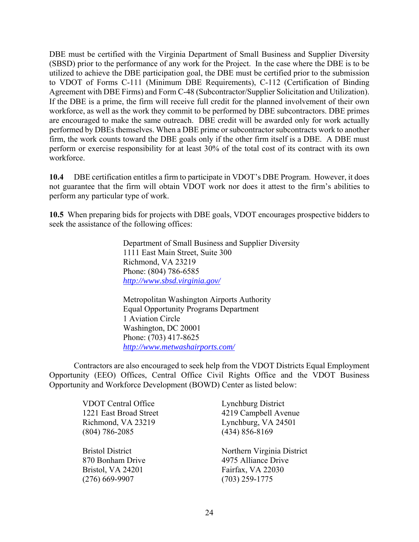DBE must be certified with the Virginia Department of Small Business and Supplier Diversity (SBSD) prior to the performance of any work for the Project. In the case where the DBE is to be utilized to achieve the DBE participation goal, the DBE must be certified prior to the submission to VDOT of Forms C-111 (Minimum DBE Requirements), C-112 (Certification of Binding Agreement with DBE Firms) and Form C-48 (Subcontractor/Supplier Solicitation and Utilization). If the DBE is a prime, the firm will receive full credit for the planned involvement of their own workforce, as well as the work they commit to be performed by DBE subcontractors. DBE primes are encouraged to make the same outreach. DBE credit will be awarded only for work actually performed by DBEs themselves. When a DBE prime or subcontractor subcontracts work to another firm, the work counts toward the DBE goals only if the other firm itself is a DBE. A DBE must perform or exercise responsibility for at least 30% of the total cost of its contract with its own workforce.

**10.4** DBE certification entitles a firm to participate in VDOT's DBE Program. However, it does not guarantee that the firm will obtain VDOT work nor does it attest to the firm's abilities to perform any particular type of work.

**10.5** When preparing bids for projects with DBE goals, VDOT encourages prospective bidders to seek the assistance of the following offices:

> Department of Small Business and Supplier Diversity 1111 East Main Street, Suite 300 Richmond, VA 23219 Phone: (804) 786-6585 *http://www.sbsd.virginia.gov/*

 Metropolitan Washington Airports Authority Equal Opportunity Programs Department 1 Aviation Circle Washington, DC 20001 Phone: (703) 417-8625 *http://www.metwashairports.com/*

Contractors are also encouraged to seek help from the VDOT Districts Equal Employment Opportunity (EEO) Offices, Central Office Civil Rights Office and the VDOT Business Opportunity and Workforce Development (BOWD) Center as listed below:

> VDOT Central Office Lynchburg District 1221 East Broad Street 4219 Campbell Avenue Richmond, VA 23219 Lynchburg, VA 24501 (804) 786-2085 (434) 856-8169 Bristol District Northern Virginia District 870 Bonham Drive 4975 Alliance Drive Bristol, VA 24201 Fairfax, VA 22030 (276) 669-9907 (703) 259-1775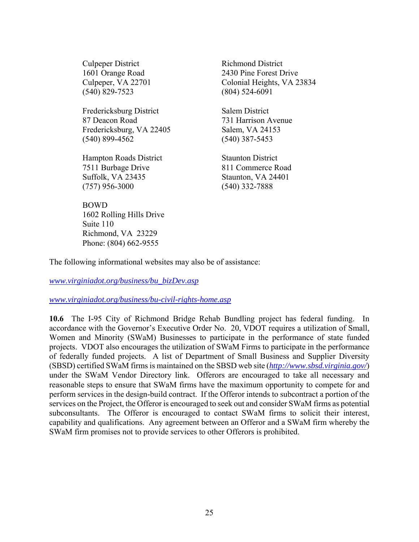Culpeper District Richmond District (540) 829-7523 (804) 524-6091

Fredericksburg District Salem District 87 Deacon Road 731 Harrison Avenue Fredericksburg, VA 22405 Salem, VA 24153 (540) 899-4562 (540) 387-5453

**Hampton Roads District Staunton District** 7511 Burbage Drive 811 Commerce Road Suffolk, VA 23435 Staunton, VA 24401 (757) 956-3000 (540) 332-7888

BOWD 1602 Rolling Hills Drive Suite 110 Richmond, VA 23229 Phone: (804) 662-9555

1601 Orange Road 2430 Pine Forest Drive Culpeper, VA 22701 Colonial Heights, VA 23834

The following informational websites may also be of assistance:

*www.virginiadot.org/business/bu\_bizDev.asp* 

*www.virginiadot.org/business/bu-civil-rights-home.asp* 

**10.6** The I-95 City of Richmond Bridge Rehab Bundling project has federal funding. In accordance with the Governor's Executive Order No. 20, VDOT requires a utilization of Small, Women and Minority (SWaM) Businesses to participate in the performance of state funded projects. VDOT also encourages the utilization of SWaM Firms to participate in the performance of federally funded projects. A list of Department of Small Business and Supplier Diversity (SBSD) certified SWaM firms is maintained on the SBSD web site (*http://www.sbsd.virginia.gov/*) under the SWaM Vendor Directory link. Offerors are encouraged to take all necessary and reasonable steps to ensure that SWaM firms have the maximum opportunity to compete for and perform services in the design-build contract. If the Offeror intends to subcontract a portion of the services on the Project, the Offeror is encouraged to seek out and consider SWaM firms as potential subconsultants. The Offeror is encouraged to contact SWaM firms to solicit their interest, capability and qualifications. Any agreement between an Offeror and a SWaM firm whereby the SWaM firm promises not to provide services to other Offerors is prohibited.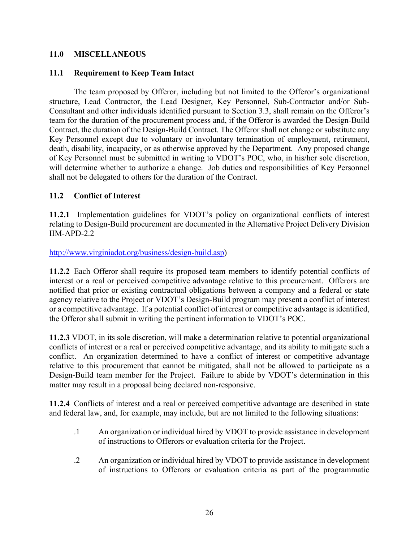## **11.0 MISCELLANEOUS**

#### **11.1 Requirement to Keep Team Intact**

 The team proposed by Offeror, including but not limited to the Offeror's organizational structure, Lead Contractor, the Lead Designer, Key Personnel, Sub-Contractor and/or Sub-Consultant and other individuals identified pursuant to Section 3.3, shall remain on the Offeror's team for the duration of the procurement process and, if the Offeror is awarded the Design-Build Contract, the duration of the Design-Build Contract. The Offeror shall not change or substitute any Key Personnel except due to voluntary or involuntary termination of employment, retirement, death, disability, incapacity, or as otherwise approved by the Department. Any proposed change of Key Personnel must be submitted in writing to VDOT's POC, who, in his/her sole discretion, will determine whether to authorize a change. Job duties and responsibilities of Key Personnel shall not be delegated to others for the duration of the Contract.

# **11.2 Conflict of Interest**

**11.2.1** Implementation guidelines for VDOT's policy on organizational conflicts of interest relating to Design-Build procurement are documented in the Alternative Project Delivery Division IIM-APD-2.2

http://www.virginiadot.org/business/design-build.asp)

**11.2.2** Each Offeror shall require its proposed team members to identify potential conflicts of interest or a real or perceived competitive advantage relative to this procurement. Offerors are notified that prior or existing contractual obligations between a company and a federal or state agency relative to the Project or VDOT's Design-Build program may present a conflict of interest or a competitive advantage. If a potential conflict of interest or competitive advantage is identified, the Offeror shall submit in writing the pertinent information to VDOT's POC.

**11.2.3** VDOT, in its sole discretion, will make a determination relative to potential organizational conflicts of interest or a real or perceived competitive advantage, and its ability to mitigate such a conflict. An organization determined to have a conflict of interest or competitive advantage relative to this procurement that cannot be mitigated, shall not be allowed to participate as a Design-Build team member for the Project. Failure to abide by VDOT's determination in this matter may result in a proposal being declared non-responsive.

**11.2.4** Conflicts of interest and a real or perceived competitive advantage are described in state and federal law, and, for example, may include, but are not limited to the following situations:

- .1 An organization or individual hired by VDOT to provide assistance in development of instructions to Offerors or evaluation criteria for the Project.
- .2 An organization or individual hired by VDOT to provide assistance in development of instructions to Offerors or evaluation criteria as part of the programmatic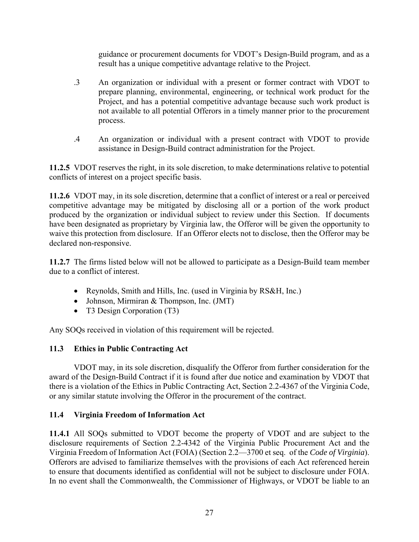guidance or procurement documents for VDOT's Design-Build program, and as a result has a unique competitive advantage relative to the Project.

- .3 An organization or individual with a present or former contract with VDOT to prepare planning, environmental, engineering, or technical work product for the Project, and has a potential competitive advantage because such work product is not available to all potential Offerors in a timely manner prior to the procurement process.
- .4 An organization or individual with a present contract with VDOT to provide assistance in Design-Build contract administration for the Project.

**11.2.5** VDOT reserves the right, in its sole discretion, to make determinations relative to potential conflicts of interest on a project specific basis.

**11.2.6** VDOT may, in its sole discretion, determine that a conflict of interest or a real or perceived competitive advantage may be mitigated by disclosing all or a portion of the work product produced by the organization or individual subject to review under this Section. If documents have been designated as proprietary by Virginia law, the Offeror will be given the opportunity to waive this protection from disclosure. If an Offeror elects not to disclose, then the Offeror may be declared non-responsive.

**11.2.7** The firms listed below will not be allowed to participate as a Design-Build team member due to a conflict of interest.

- Reynolds, Smith and Hills, Inc. (used in Virginia by RS&H, Inc.)
- Johnson, Mirmiran & Thompson, Inc. (JMT)
- T3 Design Corporation (T3)

Any SOQs received in violation of this requirement will be rejected.

# **11.3 Ethics in Public Contracting Act**

VDOT may, in its sole discretion, disqualify the Offeror from further consideration for the award of the Design-Build Contract if it is found after due notice and examination by VDOT that there is a violation of the Ethics in Public Contracting Act, Section 2.2-4367 of the Virginia Code, or any similar statute involving the Offeror in the procurement of the contract.

# **11.4 Virginia Freedom of Information Act**

**11.4.1** All SOQs submitted to VDOT become the property of VDOT and are subject to the disclosure requirements of Section 2.2-4342 of the Virginia Public Procurement Act and the Virginia Freedom of Information Act (FOIA) (Section 2.2—3700 et seq. of the *Code of Virginia*). Offerors are advised to familiarize themselves with the provisions of each Act referenced herein to ensure that documents identified as confidential will not be subject to disclosure under FOIA. In no event shall the Commonwealth, the Commissioner of Highways, or VDOT be liable to an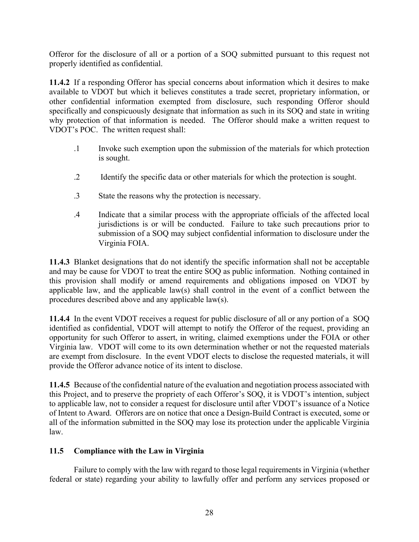Offeror for the disclosure of all or a portion of a SOQ submitted pursuant to this request not properly identified as confidential.

**11.4.2** If a responding Offeror has special concerns about information which it desires to make available to VDOT but which it believes constitutes a trade secret, proprietary information, or other confidential information exempted from disclosure, such responding Offeror should specifically and conspicuously designate that information as such in its SOQ and state in writing why protection of that information is needed. The Offeror should make a written request to VDOT's POC. The written request shall:

- .1Invoke such exemption upon the submission of the materials for which protection is sought.
- .2 Identify the specific data or other materials for which the protection is sought.
- .3State the reasons why the protection is necessary.
- .4 Indicate that a similar process with the appropriate officials of the affected local jurisdictions is or will be conducted. Failure to take such precautions prior to submission of a SOQ may subject confidential information to disclosure under the Virginia FOIA.

**11.4.3** Blanket designations that do not identify the specific information shall not be acceptable and may be cause for VDOT to treat the entire SOQ as public information. Nothing contained in this provision shall modify or amend requirements and obligations imposed on VDOT by applicable law, and the applicable law(s) shall control in the event of a conflict between the procedures described above and any applicable law(s).

**11.4.4** In the event VDOT receives a request for public disclosure of all or any portion of a SOQ identified as confidential, VDOT will attempt to notify the Offeror of the request, providing an opportunity for such Offeror to assert, in writing, claimed exemptions under the FOIA or other Virginia law. VDOT will come to its own determination whether or not the requested materials are exempt from disclosure. In the event VDOT elects to disclose the requested materials, it will provide the Offeror advance notice of its intent to disclose.

**11.4.5** Because of the confidential nature of the evaluation and negotiation process associated with this Project, and to preserve the propriety of each Offeror's SOQ, it is VDOT's intention, subject to applicable law, not to consider a request for disclosure until after VDOT's issuance of a Notice of Intent to Award. Offerors are on notice that once a Design-Build Contract is executed, some or all of the information submitted in the SOQ may lose its protection under the applicable Virginia law.

# **11.5 Compliance with the Law in Virginia**

Failure to comply with the law with regard to those legal requirements in Virginia (whether federal or state) regarding your ability to lawfully offer and perform any services proposed or